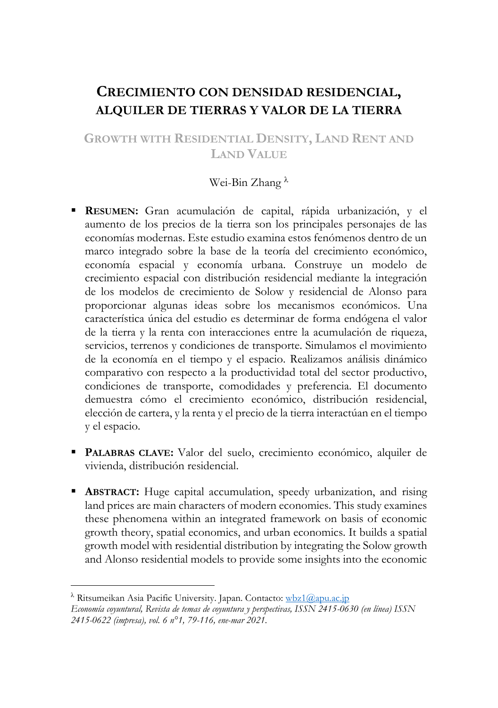# **CRECIMIENTO CON DENSIDAD RESIDENCIAL, ALQUILER DE TIERRAS Y VALOR DE LA TIERRA**

# **GROWTH WITH RESIDENTIAL DENSITY, LAND RENT AND LAND VALUE**

# Wei-Bin Zhang  $\lambda$

- **RESUMEN:** Gran acumulación de capital, rápida urbanización, y el aumento de los precios de la tierra son los principales personajes de las economías modernas. Este estudio examina estos fenómenos dentro de un marco integrado sobre la base de la teoría del crecimiento económico, economía espacial y economía urbana. Construye un modelo de crecimiento espacial con distribución residencial mediante la integración de los modelos de crecimiento de Solow y residencial de Alonso para proporcionar algunas ideas sobre los mecanismos económicos. Una característica única del estudio es determinar de forma endógena el valor de la tierra y la renta con interacciones entre la acumulación de riqueza, servicios, terrenos y condiciones de transporte. Simulamos el movimiento de la economía en el tiempo y el espacio. Realizamos análisis dinámico comparativo con respecto a la productividad total del sector productivo, condiciones de transporte, comodidades y preferencia. El documento demuestra cómo el crecimiento económico, distribución residencial, elección de cartera, y la renta y el precio de la tierra interactúan en el tiempo y el espacio.
- **PALABRAS CLAVE:** Valor del suelo, crecimiento económico, alquiler de vivienda, distribución residencial.
- **ABSTRACT:** Huge capital accumulation, speedy urbanization, and rising land prices are main characters of modern economies. This study examines these phenomena within an integrated framework on basis of economic growth theory, spatial economics, and urban economics. It builds a spatial growth model with residential distribution by integrating the Solow growth and Alonso residential models to provide some insights into the economic

 $\overline{\phantom{a}}$ 

<sup>&</sup>lt;sup>2</sup> Ritsumeikan Asia Pacific University. Japan. Contacto: [wbz1@apu.ac.jp](mailto:wbz1@apu.ac.jp) *Economía coyuntural, Revista de temas de coyuntura y perspectivas, ISSN 2415-0630 (en línea) ISSN 2415-0622 (impresa), vol. 6 n°1, 79-116, ene-mar 2021.*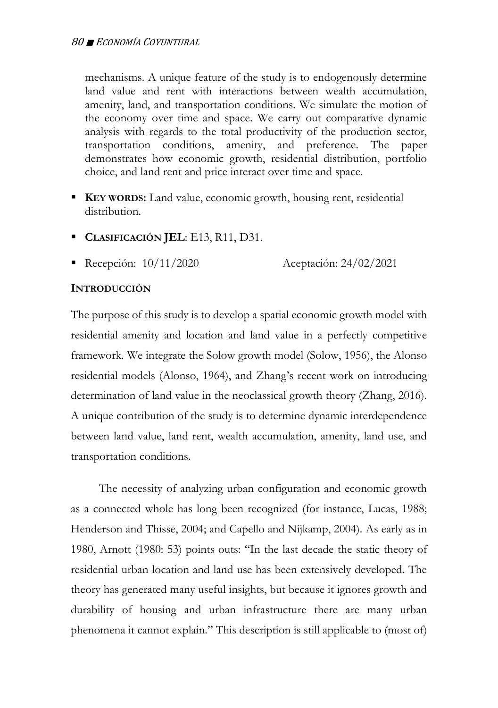mechanisms. A unique feature of the study is to endogenously determine land value and rent with interactions between wealth accumulation, amenity, land, and transportation conditions. We simulate the motion of the economy over time and space. We carry out comparative dynamic analysis with regards to the total productivity of the production sector, transportation conditions, amenity, and preference. The paper demonstrates how economic growth, residential distribution, portfolio choice, and land rent and price interact over time and space.

- **KEY WORDS:** Land value, economic growth, housing rent, residential distribution.
- **CLASIFICACIÓN JEL**: E13, R11, D31.
- $\blacksquare$  Recepción: 10/11/2020 Aceptación: 24/02/2021

# **INTRODUCCIÓN**

The purpose of this study is to develop a spatial economic growth model with residential amenity and location and land value in a perfectly competitive framework. We integrate the Solow growth model (Solow, 1956), the Alonso residential models (Alonso, 1964), and Zhang's recent work on introducing determination of land value in the neoclassical growth theory (Zhang, 2016). A unique contribution of the study is to determine dynamic interdependence between land value, land rent, wealth accumulation, amenity, land use, and transportation conditions.

The necessity of analyzing urban configuration and economic growth as a connected whole has long been recognized (for instance, Lucas, 1988; Henderson and Thisse, 2004; and Capello and Nijkamp, 2004). As early as in 1980, Arnott (1980: 53) points outs: "In the last decade the static theory of residential urban location and land use has been extensively developed. The theory has generated many useful insights, but because it ignores growth and durability of housing and urban infrastructure there are many urban phenomena it cannot explain." This description is still applicable to (most of)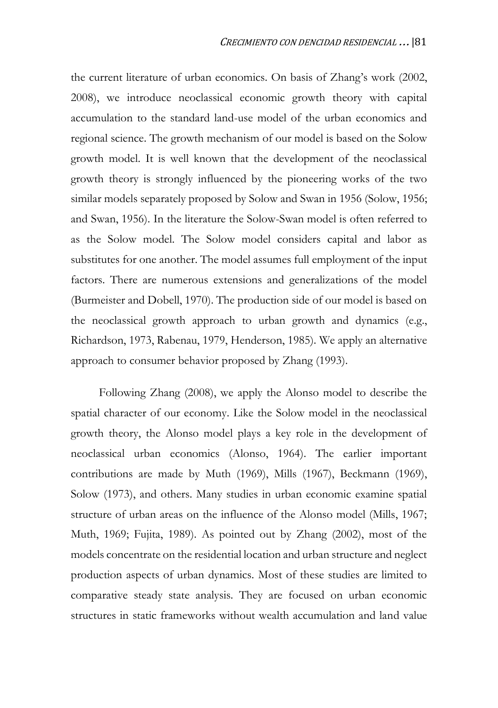the current literature of urban economics. On basis of Zhang's work (2002, 2008), we introduce neoclassical economic growth theory with capital accumulation to the standard land-use model of the urban economics and regional science. The growth mechanism of our model is based on the Solow growth model. It is well known that the development of the neoclassical growth theory is strongly influenced by the pioneering works of the two similar models separately proposed by Solow and Swan in 1956 (Solow, 1956; and Swan, 1956). In the literature the Solow-Swan model is often referred to as the Solow model. The Solow model considers capital and labor as substitutes for one another. The model assumes full employment of the input factors. There are numerous extensions and generalizations of the model (Burmeister and Dobell, 1970). The production side of our model is based on the neoclassical growth approach to urban growth and dynamics (e.g., Richardson, 1973, Rabenau, 1979, Henderson, 1985). We apply an alternative approach to consumer behavior proposed by Zhang (1993).

Following Zhang (2008), we apply the Alonso model to describe the spatial character of our economy. Like the Solow model in the neoclassical growth theory, the Alonso model plays a key role in the development of neoclassical urban economics (Alonso, 1964). The earlier important contributions are made by Muth (1969), Mills (1967), Beckmann (1969), Solow (1973), and others. Many studies in urban economic examine spatial structure of urban areas on the influence of the Alonso model (Mills, 1967; Muth, 1969; Fujita, 1989). As pointed out by Zhang (2002), most of the models concentrate on the residential location and urban structure and neglect production aspects of urban dynamics. Most of these studies are limited to comparative steady state analysis. They are focused on urban economic structures in static frameworks without wealth accumulation and land value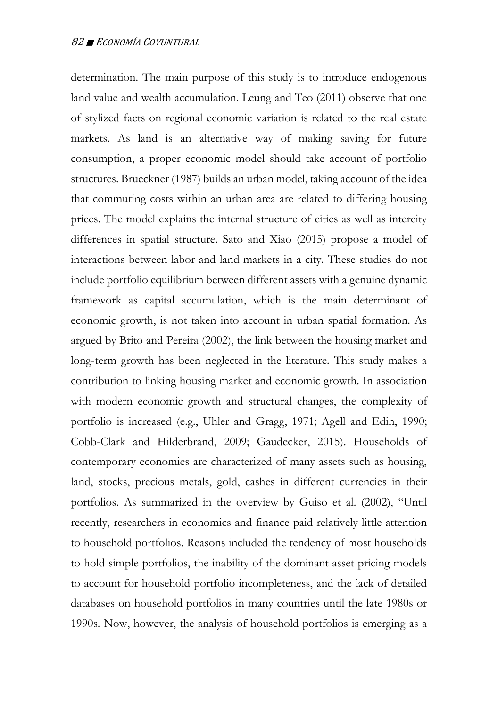determination. The main purpose of this study is to introduce endogenous land value and wealth accumulation. Leung and Teo (2011) observe that one of stylized facts on regional economic variation is related to the real estate markets. As land is an alternative way of making saving for future consumption, a proper economic model should take account of portfolio structures. Brueckner (1987) builds an urban model, taking account of the idea that commuting costs within an urban area are related to differing housing prices. The model explains the internal structure of cities as well as intercity differences in spatial structure. Sato and Xiao (2015) propose a model of interactions between labor and land markets in a city. These studies do not include portfolio equilibrium between different assets with a genuine dynamic framework as capital accumulation, which is the main determinant of economic growth, is not taken into account in urban spatial formation. As argued by Brito and Pereira (2002), the link between the housing market and long-term growth has been neglected in the literature. This study makes a contribution to linking housing market and economic growth. In association with modern economic growth and structural changes, the complexity of portfolio is increased (e.g., Uhler and Gragg, 1971; Agell and Edin, 1990; Cobb-Clark and Hilderbrand, 2009; Gaudecker, 2015). Households of contemporary economies are characterized of many assets such as housing, land, stocks, precious metals, gold, cashes in different currencies in their portfolios. As summarized in the overview by Guiso et al. (2002), "Until recently, researchers in economics and finance paid relatively little attention to household portfolios. Reasons included the tendency of most households to hold simple portfolios, the inability of the dominant asset pricing models to account for household portfolio incompleteness, and the lack of detailed databases on household portfolios in many countries until the late 1980s or 1990s. Now, however, the analysis of household portfolios is emerging as a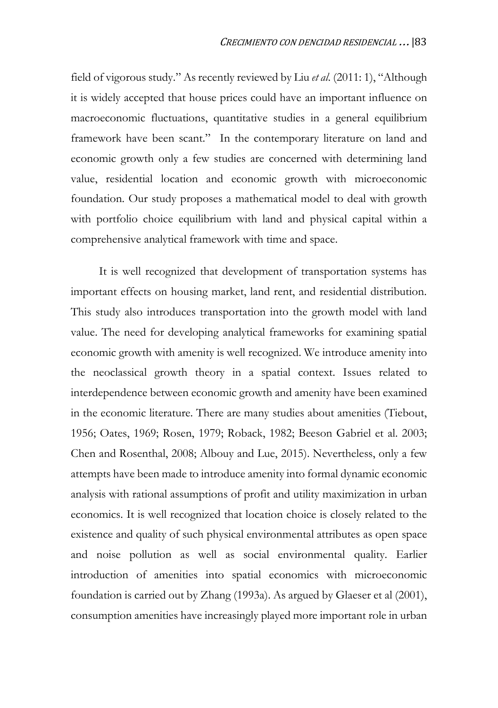field of vigorous study." As recently reviewed by Liu *et al*. (2011: 1), "Although it is widely accepted that house prices could have an important influence on macroeconomic fluctuations, quantitative studies in a general equilibrium framework have been scant." In the contemporary literature on land and economic growth only a few studies are concerned with determining land value, residential location and economic growth with microeconomic foundation. Our study proposes a mathematical model to deal with growth with portfolio choice equilibrium with land and physical capital within a comprehensive analytical framework with time and space.

It is well recognized that development of transportation systems has important effects on housing market, land rent, and residential distribution. This study also introduces transportation into the growth model with land value. The need for developing analytical frameworks for examining spatial economic growth with amenity is well recognized. We introduce amenity into the neoclassical growth theory in a spatial context. Issues related to interdependence between economic growth and amenity have been examined in the economic literature. There are many studies about amenities (Tiebout, 1956; Oates, 1969; Rosen, 1979; Roback, 1982; Beeson Gabriel et al. 2003; Chen and Rosenthal, 2008; Albouy and Lue, 2015). Nevertheless, only a few attempts have been made to introduce amenity into formal dynamic economic analysis with rational assumptions of profit and utility maximization in urban economics. It is well recognized that location choice is closely related to the existence and quality of such physical environmental attributes as open space and noise pollution as well as social environmental quality. Earlier introduction of amenities into spatial economics with microeconomic foundation is carried out by Zhang (1993a). As argued by Glaeser et al (2001), consumption amenities have increasingly played more important role in urban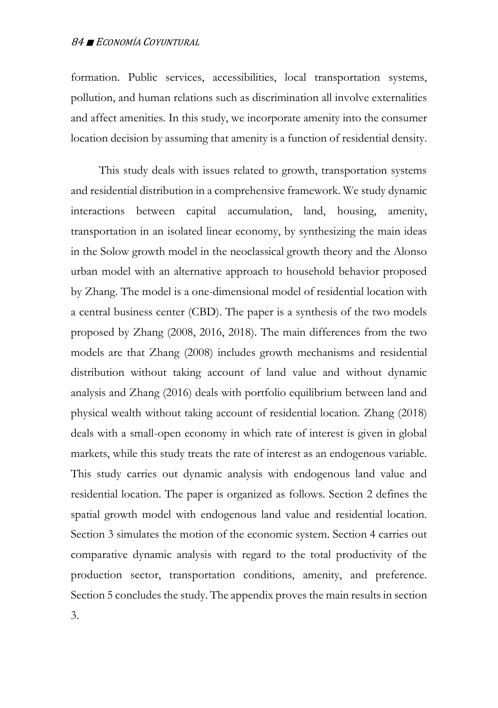formation. Public services, accessibilities, local transportation systems, pollution, and human relations such as discrimination all involve externalities and affect amenities. In this study, we incorporate amenity into the consumer location decision by assuming that amenity is a function of residential density.

This study deals with issues related to growth, transportation systems and residential distribution in a comprehensive framework. We study dynamic interactions between capital accumulation, land, housing, amenity, transportation in an isolated linear economy, by synthesizing the main ideas in the Solow growth model in the neoclassical growth theory and the Alonso urban model with an alternative approach to household behavior proposed by Zhang. The model is a one-dimensional model of residential location with a central business center (CBD). The paper is a synthesis of the two models proposed by Zhang (2008, 2016, 2018). The main differences from the two models are that Zhang (2008) includes growth mechanisms and residential distribution without taking account of land value and without dynamic analysis and Zhang (2016) deals with portfolio equilibrium between land and physical wealth without taking account of residential location. Zhang (2018) deals with a small-open economy in which rate of interest is given in global markets, while this study treats the rate of interest as an endogenous variable. This study carries out dynamic analysis with endogenous land value and residential location. The paper is organized as follows. Section 2 defines the spatial growth model with endogenous land value and residential location. Section 3 simulates the motion of the economic system. Section 4 carries out comparative dynamic analysis with regard to the total productivity of the production sector, transportation conditions, amenity, and preference. Section 5 concludes the study. The appendix proves the main results in section 3.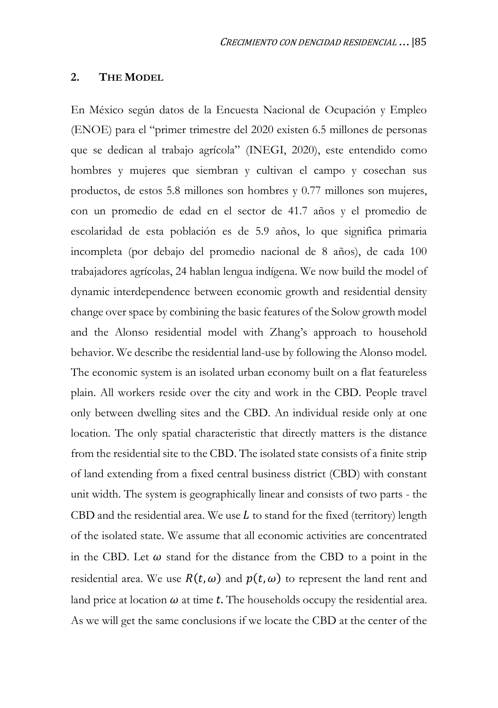# **2. THE MODEL**

En México según datos de la Encuesta Nacional de Ocupación y Empleo (ENOE) para el "primer trimestre del 2020 existen 6.5 millones de personas que se dedican al trabajo agrícola" (INEGI, 2020), este entendido como hombres y mujeres que siembran y cultivan el campo y cosechan sus productos, de estos 5.8 millones son hombres y 0.77 millones son mujeres, con un promedio de edad en el sector de 41.7 años y el promedio de escolaridad de esta población es de 5.9 años, lo que significa primaria incompleta (por debajo del promedio nacional de 8 años), de cada 100 trabajadores agrícolas, 24 hablan lengua indígena. We now build the model of dynamic interdependence between economic growth and residential density change over space by combining the basic features of the Solow growth model and the Alonso residential model with Zhang's approach to household behavior. We describe the residential land-use by following the Alonso model. The economic system is an isolated urban economy built on a flat featureless plain. All workers reside over the city and work in the CBD. People travel only between dwelling sites and the CBD. An individual reside only at one location. The only spatial characteristic that directly matters is the distance from the residential site to the CBD. The isolated state consists of a finite strip of land extending from a fixed central business district (CBD) with constant unit width. The system is geographically linear and consists of two parts - the CBD and the residential area. We use  $L$  to stand for the fixed (territory) length of the isolated state. We assume that all economic activities are concentrated in the CBD. Let  $\omega$  stand for the distance from the CBD to a point in the residential area. We use  $R(t, \omega)$  and  $p(t, \omega)$  to represent the land rent and land price at location  $\omega$  at time t. The households occupy the residential area. As we will get the same conclusions if we locate the CBD at the center of the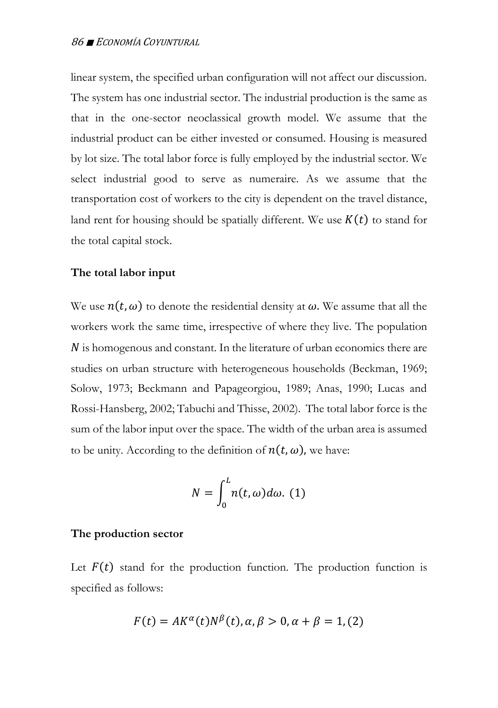linear system, the specified urban configuration will not affect our discussion. The system has one industrial sector. The industrial production is the same as that in the one-sector neoclassical growth model. We assume that the industrial product can be either invested or consumed. Housing is measured by lot size. The total labor force is fully employed by the industrial sector. We select industrial good to serve as numeraire. As we assume that the transportation cost of workers to the city is dependent on the travel distance, land rent for housing should be spatially different. We use  $K(t)$  to stand for the total capital stock.

### **The total labor input**

We use  $n(t, \omega)$  to denote the residential density at  $\omega$ . We assume that all the workers work the same time, irrespective of where they live. The population  $N$  is homogenous and constant. In the literature of urban economics there are studies on urban structure with heterogeneous households (Beckman, 1969; Solow, 1973; Beckmann and Papageorgiou, 1989; Anas, 1990; Lucas and Rossi-Hansberg, 2002; Tabuchi and Thisse, 2002). The total labor force is the sum of the labor input over the space. The width of the urban area is assumed to be unity. According to the definition of  $n(t, \omega)$ , we have:

$$
N=\int_0^L n(t,\omega)d\omega.
$$
 (1)

#### **The production sector**

Let  $F(t)$  stand for the production function. The production function is specified as follows:

$$
F(t) = AK^{\alpha}(t)N^{\beta}(t), \alpha, \beta > 0, \alpha + \beta = 1, (2)
$$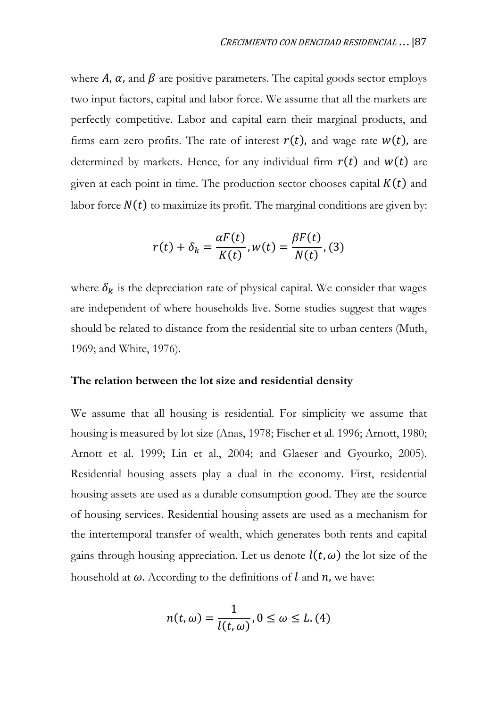where  $A$ ,  $\alpha$ , and  $\beta$  are positive parameters. The capital goods sector employs two input factors, capital and labor force. We assume that all the markets are perfectly competitive. Labor and capital earn their marginal products, and firms earn zero profits. The rate of interest  $r(t)$ , and wage rate  $w(t)$ , are determined by markets. Hence, for any individual firm  $r(t)$  and  $w(t)$  are given at each point in time. The production sector chooses capital  $K(t)$  and labor force  $N(t)$  to maximize its profit. The marginal conditions are given by:

$$
r(t) + \delta_k = \frac{\alpha F(t)}{K(t)}, w(t) = \frac{\beta F(t)}{N(t)},
$$
 (3)

where  $\delta_k$  is the depreciation rate of physical capital. We consider that wages are independent of where households live. Some studies suggest that wages should be related to distance from the residential site to urban centers (Muth, 1969; and White, 1976).

#### **The relation between the lot size and residential density**

We assume that all housing is residential. For simplicity we assume that housing is measured by lot size (Anas, 1978; Fischer et al. 1996; Arnott, 1980; Arnott et al. 1999; Lin et al., 2004; and Glaeser and Gyourko, 2005). Residential housing assets play a dual in the economy. First, residential housing assets are used as a durable consumption good. They are the source of housing services. Residential housing assets are used as a mechanism for the intertemporal transfer of wealth, which generates both rents and capital gains through housing appreciation. Let us denote  $l(t, \omega)$  the lot size of the household at  $\omega$ . According to the definitions of  $l$  and  $n$ , we have:

$$
n(t,\omega) = \frac{1}{l(t,\omega)}, 0 \le \omega \le L.(4)
$$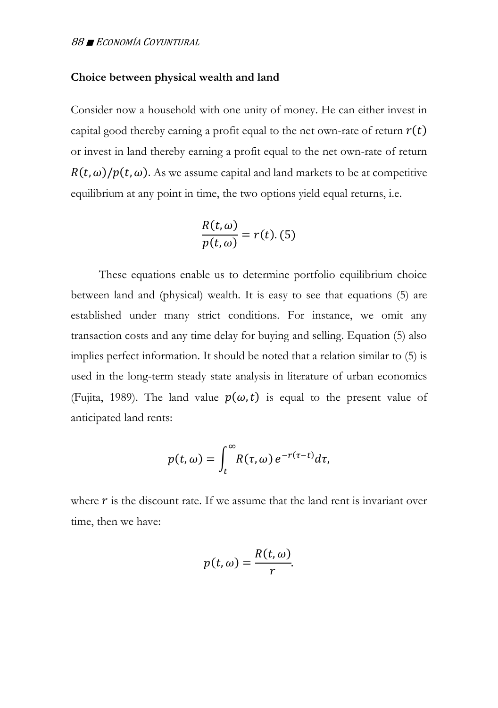#### **Choice between physical wealth and land**

Consider now a household with one unity of money. He can either invest in capital good thereby earning a profit equal to the net own-rate of return  $r(t)$ or invest in land thereby earning a profit equal to the net own-rate of return  $R(t, \omega)/p(t, \omega)$ . As we assume capital and land markets to be at competitive equilibrium at any point in time, the two options yield equal returns, i.e.

$$
\frac{R(t,\omega)}{p(t,\omega)} = r(t). (5)
$$

These equations enable us to determine portfolio equilibrium choice between land and (physical) wealth. It is easy to see that equations (5) are established under many strict conditions. For instance, we omit any transaction costs and any time delay for buying and selling. Equation (5) also implies perfect information. It should be noted that a relation similar to (5) is used in the long-term steady state analysis in literature of urban economics (Fujita, 1989). The land value  $p(\omega,t)$  is equal to the present value of anticipated land rents:

$$
p(t,\omega)=\int_t^\infty R(\tau,\omega)\,e^{-r(\tau-t)}d\tau,
$$

where  $\dot{r}$  is the discount rate. If we assume that the land rent is invariant over time, then we have:

$$
p(t,\omega)=\frac{R(t,\omega)}{r}.
$$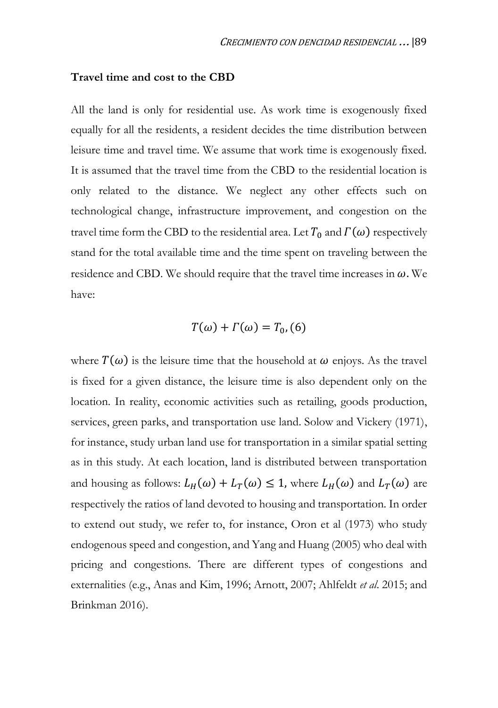#### **Travel time and cost to the CBD**

All the land is only for residential use. As work time is exogenously fixed equally for all the residents, a resident decides the time distribution between leisure time and travel time. We assume that work time is exogenously fixed. It is assumed that the travel time from the CBD to the residential location is only related to the distance. We neglect any other effects such on technological change, infrastructure improvement, and congestion on the travel time form the CBD to the residential area. Let  $T_0$  and  $\Gamma(\omega)$  respectively stand for the total available time and the time spent on traveling between the residence and CBD. We should require that the travel time increases in  $\omega$ . We have:

$$
T(\omega) + \Gamma(\omega) = T_0, (6)
$$

where  $T(\omega)$  is the leisure time that the household at  $\omega$  enjoys. As the travel is fixed for a given distance, the leisure time is also dependent only on the location. In reality, economic activities such as retailing, goods production, services, green parks, and transportation use land. Solow and Vickery (1971), for instance, study urban land use for transportation in a similar spatial setting as in this study. At each location, land is distributed between transportation and housing as follows:  $L_H(\omega) + L_T(\omega) \leq 1$ , where  $L_H(\omega)$  and  $L_T(\omega)$  are respectively the ratios of land devoted to housing and transportation. In order to extend out study, we refer to, for instance, Oron et al (1973) who study endogenous speed and congestion, and Yang and Huang (2005) who deal with pricing and congestions. There are different types of congestions and externalities (e.g., Anas and Kim, 1996; Arnott, 2007; Ahlfeldt *et al*. 2015; and Brinkman 2016).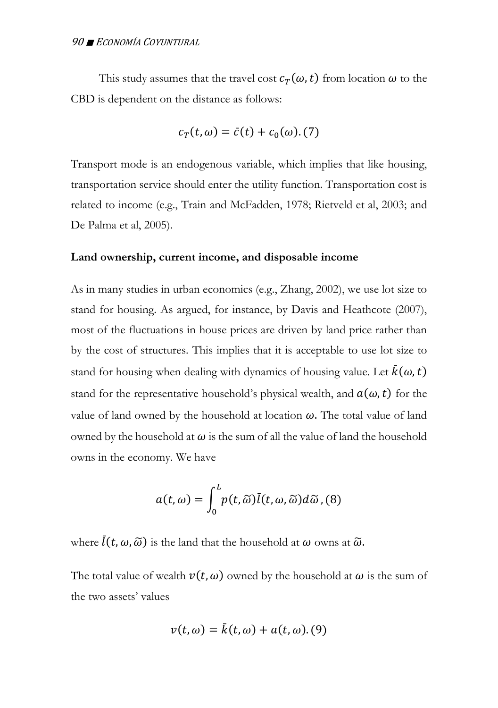This study assumes that the travel cost  $c_T(\omega, t)$  from location  $\omega$  to the CBD is dependent on the distance as follows:

$$
c_T(t,\omega)=\bar{c}(t)+c_0(\omega). (7)
$$

Transport mode is an endogenous variable, which implies that like housing, transportation service should enter the utility function. Transportation cost is related to income (e.g., Train and McFadden, 1978; Rietveld et al, 2003; and De Palma et al, 2005).

#### **Land ownership, current income, and disposable income**

As in many studies in urban economics (e.g., Zhang, 2002), we use lot size to stand for housing. As argued, for instance, by Davis and Heathcote (2007), most of the fluctuations in house prices are driven by land price rather than by the cost of structures. This implies that it is acceptable to use lot size to stand for housing when dealing with dynamics of housing value. Let  $k(\omega, t)$ stand for the representative household's physical wealth, and  $a(\omega,t)$  for the value of land owned by the household at location  $\omega$ . The total value of land owned by the household at  $\omega$  is the sum of all the value of land the household owns in the economy. We have

$$
a(t,\omega) = \int_0^L p(t,\widetilde{\omega})\overline{l}(t,\omega,\widetilde{\omega})d\widetilde{\omega}, (8)
$$

where  $\bar{l}(t, \omega, \widetilde{\omega})$  is the land that the household at  $\omega$  owns at  $\widetilde{\omega}.$ 

The total value of wealth  $v(t, \omega)$  owned by the household at  $\omega$  is the sum of the two assets' values

$$
v(t, \omega) = \bar{k}(t, \omega) + a(t, \omega). (9)
$$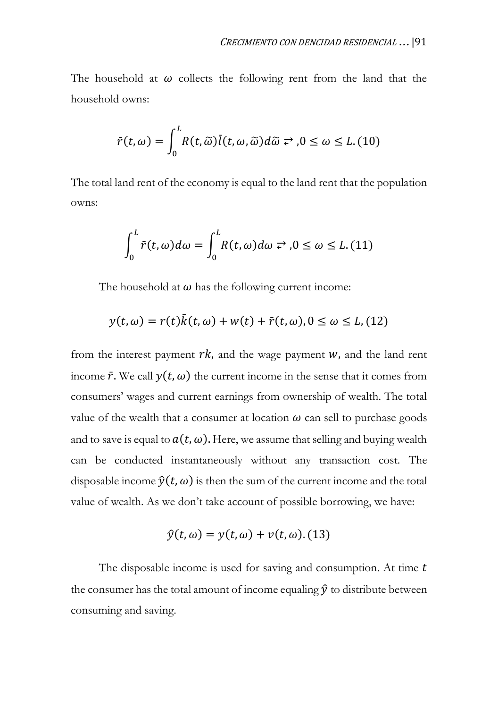The household at  $\omega$  collects the following rent from the land that the household owns:

$$
\bar{r}(t,\omega) = \int_0^L R(t,\widetilde{\omega})\overline{l}(t,\omega,\widetilde{\omega})d\widetilde{\omega} \; \rightleftarrows, 0 \leq \omega \leq L.(10)
$$

The total land rent of the economy is equal to the land rent that the population owns:

$$
\int_0^L \bar{r}(t,\omega)d\omega = \int_0^L R(t,\omega)d\omega \rightleftarrows 0 \le \omega \le L.(11)
$$

The household at  $\omega$  has the following current income:

$$
y(t, \omega) = r(t)\bar{k}(t, \omega) + w(t) + \bar{r}(t, \omega), 0 \le \omega \le L, (12)
$$

from the interest payment  $rk$ , and the wage payment  $w$ , and the land rent income  $\bar{r}$ . We call  $y(t, \omega)$  the current income in the sense that it comes from consumers' wages and current earnings from ownership of wealth. The total value of the wealth that a consumer at location  $\omega$  can sell to purchase goods and to save is equal to  $a(t, \omega)$ . Here, we assume that selling and buying wealth can be conducted instantaneously without any transaction cost. The disposable income  $\hat{y}(t, \omega)$  is then the sum of the current income and the total value of wealth. As we don't take account of possible borrowing, we have:

$$
\hat{y}(t,\omega) = y(t,\omega) + v(t,\omega). (13)
$$

The disposable income is used for saving and consumption. At time  $t$ the consumer has the total amount of income equaling  $\hat{y}$  to distribute between consuming and saving.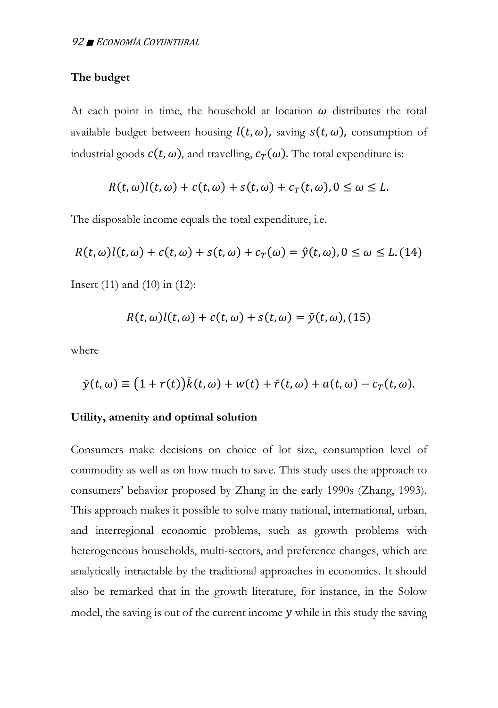### **The budget**

At each point in time, the household at location  $\omega$  distributes the total available budget between housing  $l(t, \omega)$ , saving  $s(t, \omega)$ , consumption of industrial goods  $c(t, \omega)$ , and travelling,  $c_T(\omega)$ . The total expenditure is:

$$
R(t,\omega)l(t,\omega)+c(t,\omega)+s(t,\omega)+c_T(t,\omega), 0\leq \omega\leq L.
$$

The disposable income equals the total expenditure, i.e.

$$
R(t, \omega)l(t, \omega) + c(t, \omega) + s(t, \omega) + c_T(\omega) = \hat{y}(t, \omega), 0 \le \omega \le L. (14)
$$

Insert (11) and (10) in (12):

$$
R(t, \omega)l(t, \omega) + c(t, \omega) + s(t, \omega) = \bar{y}(t, \omega), (15)
$$

where

$$
\bar{y}(t,\omega) \equiv (1+r(t))\bar{k}(t,\omega) + w(t) + \bar{r}(t,\omega) + a(t,\omega) - c_T(t,\omega).
$$

#### **Utility, amenity and optimal solution**

Consumers make decisions on choice of lot size, consumption level of commodity as well as on how much to save. This study uses the approach to consumers' behavior proposed by Zhang in the early 1990s (Zhang, 1993). This approach makes it possible to solve many national, international, urban, and interregional economic problems, such as growth problems with heterogeneous households, multi-sectors, and preference changes, which are analytically intractable by the traditional approaches in economics. It should also be remarked that in the growth literature, for instance, in the Solow model, the saving is out of the current income  $y$  while in this study the saving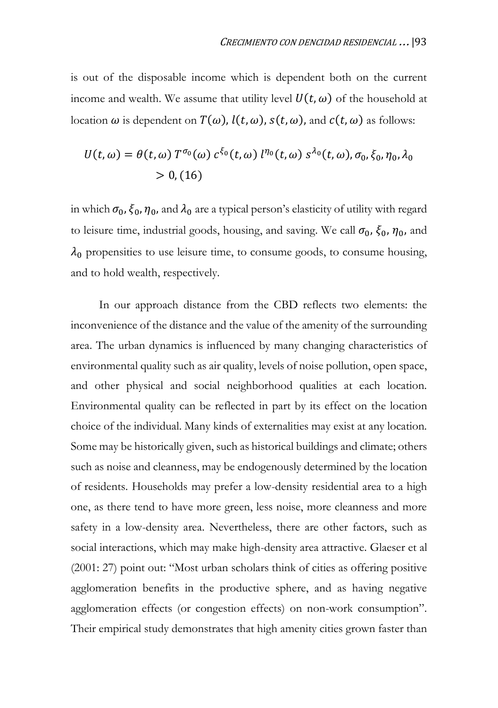is out of the disposable income which is dependent both on the current income and wealth. We assume that utility level  $U(t, \omega)$  of the household at location  $\omega$  is dependent on  $T(\omega)$ ,  $l(t, \omega)$ ,  $s(t, \omega)$ , and  $c(t, \omega)$  as follows:

$$
U(t,\omega) = \theta(t,\omega) T^{\sigma_0}(\omega) c^{\xi_0}(t,\omega) l^{\eta_0}(t,\omega) s^{\lambda_0}(t,\omega), \sigma_0, \xi_0, \eta_0, \lambda_0
$$
  
> 0, (16)

in which  $\sigma_0$ ,  $\xi_0$ ,  $\eta_0$ , and  $\lambda_0$  are a typical person's elasticity of utility with regard to leisure time, industrial goods, housing, and saving. We call  $\sigma_0$ ,  $\xi_0$ ,  $\eta_0$ , and  $\lambda_0$  propensities to use leisure time, to consume goods, to consume housing, and to hold wealth, respectively.

In our approach distance from the CBD reflects two elements: the inconvenience of the distance and the value of the amenity of the surrounding area. The urban dynamics is influenced by many changing characteristics of environmental quality such as air quality, levels of noise pollution, open space, and other physical and social neighborhood qualities at each location. Environmental quality can be reflected in part by its effect on the location choice of the individual. Many kinds of externalities may exist at any location. Some may be historically given, such as historical buildings and climate; others such as noise and cleanness, may be endogenously determined by the location of residents. Households may prefer a low-density residential area to a high one, as there tend to have more green, less noise, more cleanness and more safety in a low-density area. Nevertheless, there are other factors, such as social interactions, which may make high-density area attractive. Glaeser et al (2001: 27) point out: "Most urban scholars think of cities as offering positive agglomeration benefits in the productive sphere, and as having negative agglomeration effects (or congestion effects) on non-work consumption". Their empirical study demonstrates that high amenity cities grown faster than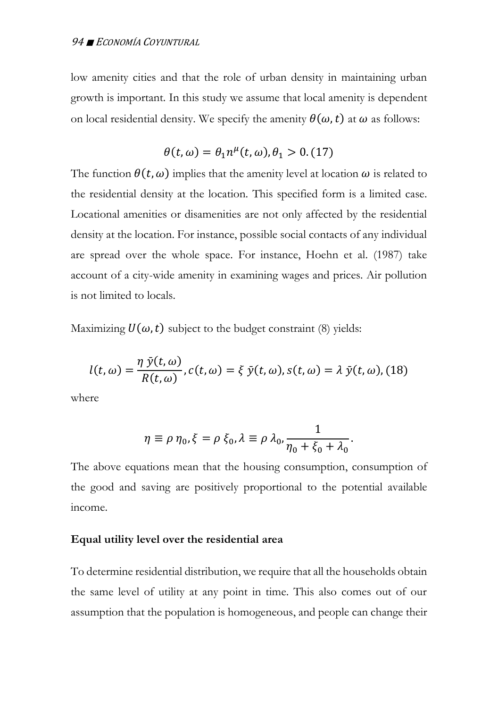low amenity cities and that the role of urban density in maintaining urban growth is important. In this study we assume that local amenity is dependent on local residential density. We specify the amenity  $\theta(\omega,t)$  at  $\omega$  as follows:

$$
\theta(t,\omega)=\theta_1 n^\mu(t,\omega), \theta_1>0. \, (17)
$$

The function  $\theta(t, \omega)$  implies that the amenity level at location  $\omega$  is related to the residential density at the location. This specified form is a limited case. Locational amenities or disamenities are not only affected by the residential density at the location. For instance, possible social contacts of any individual are spread over the whole space. For instance, Hoehn et al. (1987) take account of a city-wide amenity in examining wages and prices. Air pollution is not limited to locals.

Maximizing  $U(\omega, t)$  subject to the budget constraint (8) yields:

$$
l(t, \omega) = \frac{\eta \,\bar{y}(t, \omega)}{R(t, \omega)}, c(t, \omega) = \xi \,\bar{y}(t, \omega), s(t, \omega) = \lambda \,\bar{y}(t, \omega), (18)
$$

where

$$
\eta \equiv \rho \eta_0, \xi = \rho \xi_0, \lambda \equiv \rho \lambda_0, \frac{1}{\eta_0 + \xi_0 + \lambda_0}.
$$

The above equations mean that the housing consumption, consumption of the good and saving are positively proportional to the potential available income.

### **Equal utility level over the residential area**

To determine residential distribution, we require that all the households obtain the same level of utility at any point in time. This also comes out of our assumption that the population is homogeneous, and people can change their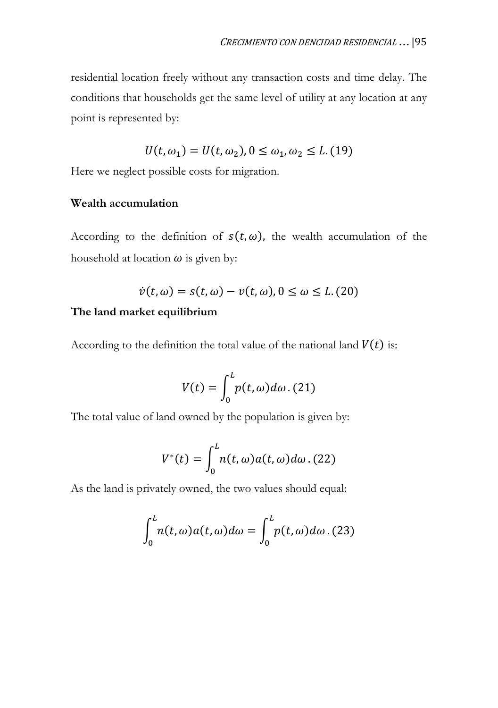residential location freely without any transaction costs and time delay. The conditions that households get the same level of utility at any location at any point is represented by:

$$
U(t, \omega_1) = U(t, \omega_2), 0 \le \omega_1, \omega_2 \le L. (19)
$$

Here we neglect possible costs for migration.

### **Wealth accumulation**

According to the definition of  $s(t, \omega)$ , the wealth accumulation of the household at location  $\omega$  is given by:

$$
\dot{v}(t,\omega) = s(t,\omega) - v(t,\omega), 0 \le \omega \le L. (20)
$$

# **The land market equilibrium**

According to the definition the total value of the national land  $V(t)$  is:

$$
V(t) = \int_0^L p(t, \omega) d\omega \, . \, (21)
$$

The total value of land owned by the population is given by:

$$
V^*(t) = \int_0^L n(t, \omega) a(t, \omega) d\omega
$$
 (22)

As the land is privately owned, the two values should equal:

$$
\int_0^L n(t,\omega)a(t,\omega)d\omega = \int_0^L p(t,\omega)d\omega.(23)
$$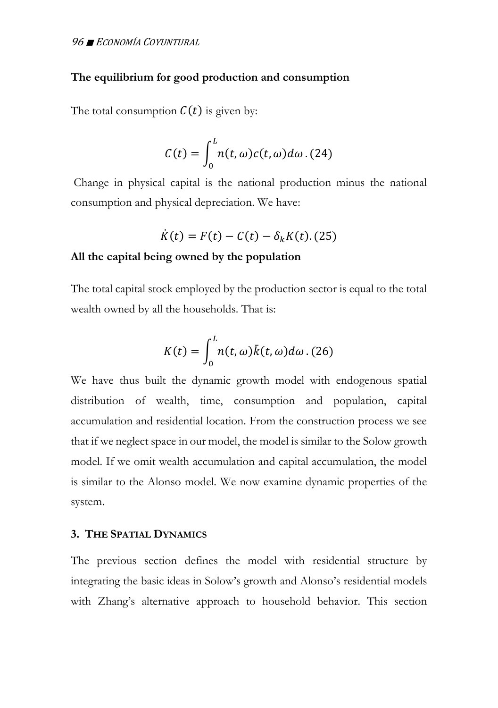### **The equilibrium for good production and consumption**

The total consumption  $C(t)$  is given by:

$$
C(t) = \int_0^L n(t, \omega) c(t, \omega) d\omega
$$
 (24)

Change in physical capital is the national production minus the national consumption and physical depreciation. We have:

$$
\dot{K}(t) = F(t) - C(t) - \delta_k K(t). (25)
$$

#### **All the capital being owned by the population**

The total capital stock employed by the production sector is equal to the total wealth owned by all the households. That is:

$$
K(t) = \int_0^L n(t, \omega) \bar{k}(t, \omega) d\omega
$$
 (26)

We have thus built the dynamic growth model with endogenous spatial distribution of wealth, time, consumption and population, capital accumulation and residential location. From the construction process we see that if we neglect space in our model, the model is similar to the Solow growth model. If we omit wealth accumulation and capital accumulation, the model is similar to the Alonso model. We now examine dynamic properties of the system.

# **3. THE SPATIAL DYNAMICS**

The previous section defines the model with residential structure by integrating the basic ideas in Solow's growth and Alonso's residential models with Zhang's alternative approach to household behavior. This section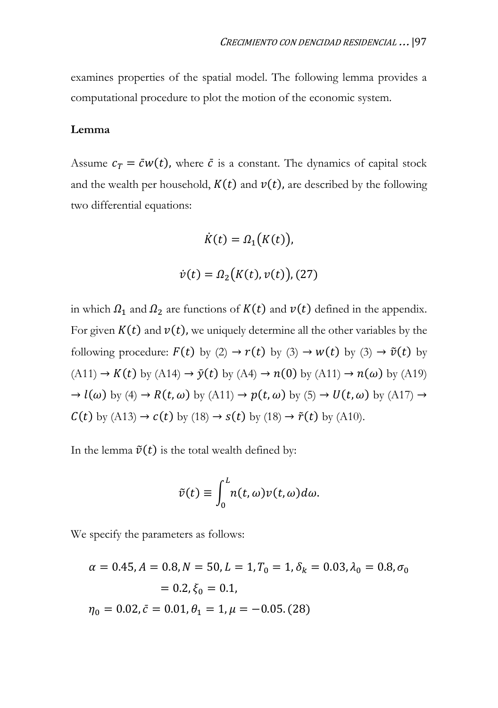examines properties of the spatial model. The following lemma provides a computational procedure to plot the motion of the economic system.

#### **Lemma**

Assume  $c_T = \bar{c}w(t)$ , where  $\bar{c}$  is a constant. The dynamics of capital stock and the wealth per household,  $K(t)$  and  $v(t)$ , are described by the following two differential equations:

$$
\dot{K}(t) = \Omega_1(K(t)),
$$
  

$$
\dot{v}(t) = \Omega_2(K(t), v(t)), (27)
$$

in which  $\Omega_1$  and  $\Omega_2$  are functions of  $K(t)$  and  $v(t)$  defined in the appendix. For given  $K(t)$  and  $v(t)$ , we uniquely determine all the other variables by the following procedure:  $F(t)$  by (2)  $\rightarrow r(t)$  by (3)  $\rightarrow w(t)$  by (3)  $\rightarrow \tilde{v}(t)$  by  $(A11) \rightarrow K(t)$  by  $(A14) \rightarrow \bar{y}(t)$  by  $(A4) \rightarrow n(0)$  by  $(A11) \rightarrow n(\omega)$  by  $(A19)$  $\rightarrow$   $l(\omega)$  by (4)  $\rightarrow$   $R(t, \omega)$  by (A11)  $\rightarrow$   $p(t, \omega)$  by (5)  $\rightarrow$   $U(t, \omega)$  by (A17)  $\rightarrow$  $C(t)$  by (A13)  $\rightarrow$   $c(t)$  by (18)  $\rightarrow$   $s(t)$  by (18)  $\rightarrow$   $\tilde{r}(t)$  by (A10).

In the lemma  $\tilde{v}(t)$  is the total wealth defined by:

$$
\tilde{v}(t) \equiv \int_0^L n(t,\omega)v(t,\omega)d\omega.
$$

We specify the parameters as follows:

$$
\alpha = 0.45, A = 0.8, N = 50, L = 1, T_0 = 1, \delta_k = 0.03, \lambda_0 = 0.8, \sigma_0
$$

$$
= 0.2, \xi_0 = 0.1,
$$

$$
\eta_0 = 0.02, \bar{c} = 0.01, \theta_1 = 1, \mu = -0.05. (28)
$$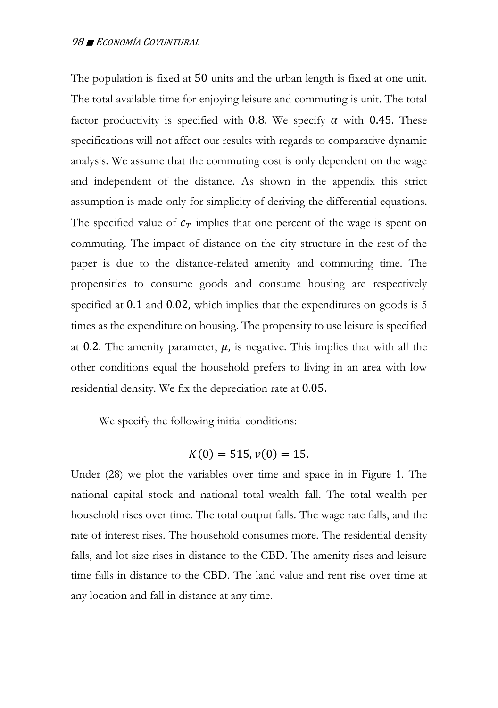The population is fixed at 50 units and the urban length is fixed at one unit. The total available time for enjoying leisure and commuting is unit. The total factor productivity is specified with 0.8. We specify  $\alpha$  with 0.45. These specifications will not affect our results with regards to comparative dynamic analysis. We assume that the commuting cost is only dependent on the wage and independent of the distance. As shown in the appendix this strict assumption is made only for simplicity of deriving the differential equations. The specified value of  $c<sub>T</sub>$  implies that one percent of the wage is spent on commuting. The impact of distance on the city structure in the rest of the paper is due to the distance-related amenity and commuting time. The propensities to consume goods and consume housing are respectively specified at  $0.1$  and  $0.02$ , which implies that the expenditures on goods is 5 times as the expenditure on housing. The propensity to use leisure is specified at 0.2. The amenity parameter,  $\mu$ , is negative. This implies that with all the other conditions equal the household prefers to living in an area with low residential density. We fix the depreciation rate at 0.05.

We specify the following initial conditions:

$$
K(0) = 515, v(0) = 15.
$$

Under (28) we plot the variables over time and space in in Figure 1. The national capital stock and national total wealth fall. The total wealth per household rises over time. The total output falls. The wage rate falls, and the rate of interest rises. The household consumes more. The residential density falls, and lot size rises in distance to the CBD. The amenity rises and leisure time falls in distance to the CBD. The land value and rent rise over time at any location and fall in distance at any time.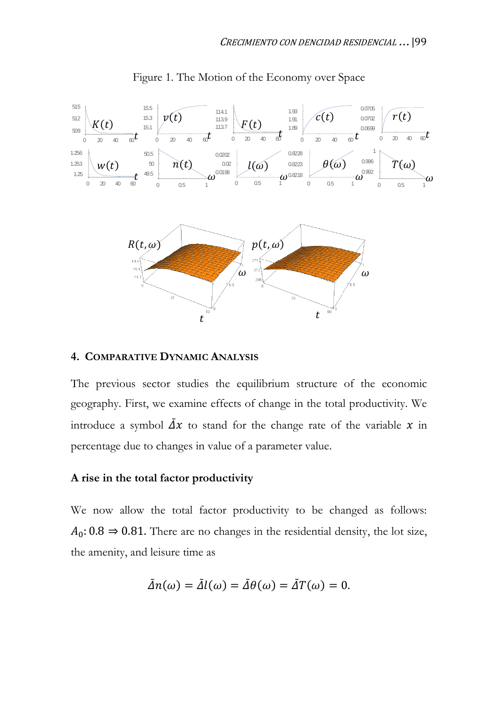

Figure 1. The Motion of the Economy over Space

### **4. COMPARATIVE DYNAMIC ANALYSIS**

The previous sector studies the equilibrium structure of the economic geography. First, we examine effects of change in the total productivity. We introduce a symbol  $\bar{A}x$  to stand for the change rate of the variable x in percentage due to changes in value of a parameter value.

#### **A rise in the total factor productivity**

We now allow the total factor productivity to be changed as follows:  $A_0$ : 0.8  $\Rightarrow$  0.81. There are no changes in the residential density, the lot size, the amenity, and leisure time as

$$
\bar{\Delta}n(\omega) = \bar{\Delta}l(\omega) = \bar{\Delta}\theta(\omega) = \bar{\Delta}T(\omega) = 0.
$$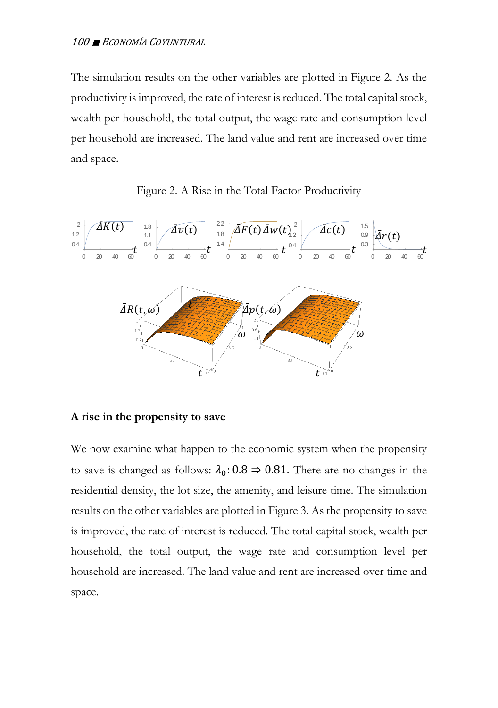The simulation results on the other variables are plotted in Figure 2. As the productivity is improved, the rate of interest is reduced. The total capital stock, wealth per household, the total output, the wage rate and consumption level per household are increased. The land value and rent are increased over time and space.





# **A rise in the propensity to save**

We now examine what happen to the economic system when the propensity to save is changed as follows:  $\lambda_0$ :  $0.8 \Rightarrow 0.81$ . There are no changes in the residential density, the lot size, the amenity, and leisure time. The simulation results on the other variables are plotted in Figure 3. As the propensity to save is improved, the rate of interest is reduced. The total capital stock, wealth per household, the total output, the wage rate and consumption level per household are increased. The land value and rent are increased over time and space.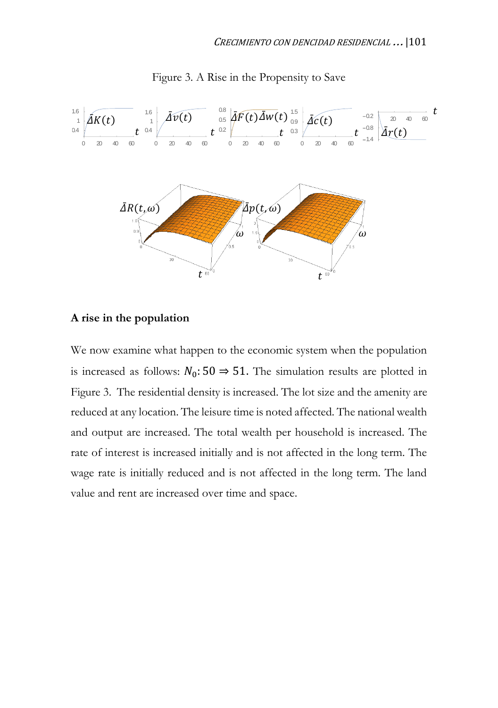

Figure 3. A Rise in the Propensity to Save

#### **A rise in the population**

We now examine what happen to the economic system when the population is increased as follows:  $N_0: 50 \Rightarrow 51$ . The simulation results are plotted in Figure 3. The residential density is increased. The lot size and the amenity are reduced at any location. The leisure time is noted affected. The national wealth and output are increased. The total wealth per household is increased. The rate of interest is increased initially and is not affected in the long term. The wage rate is initially reduced and is not affected in the long term. The land value and rent are increased over time and space.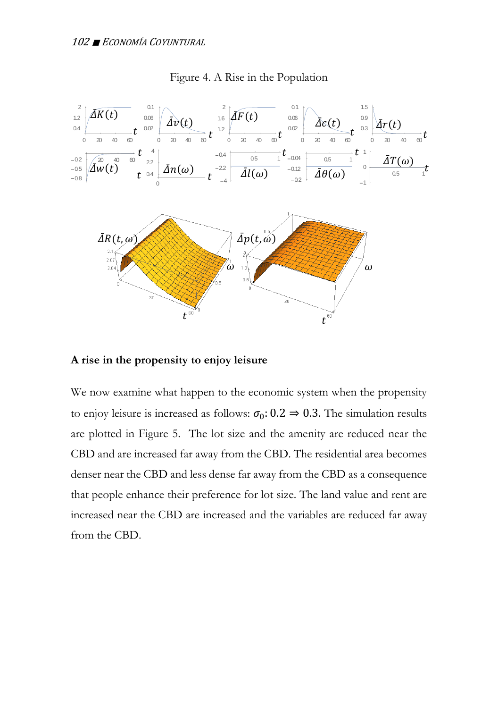

# Figure 4. A Rise in the Population

#### **A rise in the propensity to enjoy leisure**

We now examine what happen to the economic system when the propensity to enjoy leisure is increased as follows:  $\sigma_0$ : 0.2  $\Rightarrow$  0.3. The simulation results are plotted in Figure 5. The lot size and the amenity are reduced near the CBD and are increased far away from the CBD. The residential area becomes denser near the CBD and less dense far away from the CBD as a consequence that people enhance their preference for lot size. The land value and rent are increased near the CBD are increased and the variables are reduced far away from the CBD.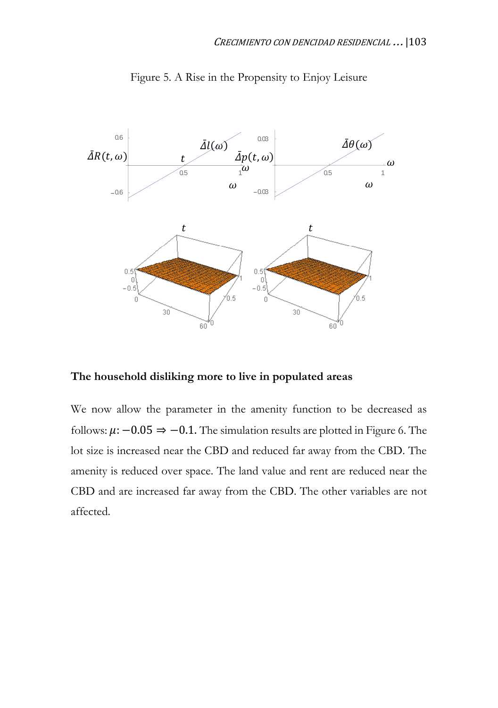

Figure 5. A Rise in the Propensity to Enjoy Leisure

#### **The household disliking more to live in populated areas**

We now allow the parameter in the amenity function to be decreased as follows:  $\mu$ :  $-0.05 \Rightarrow -0.1$ . The simulation results are plotted in Figure 6. The lot size is increased near the CBD and reduced far away from the CBD. The amenity is reduced over space. The land value and rent are reduced near the CBD and are increased far away from the CBD. The other variables are not affected.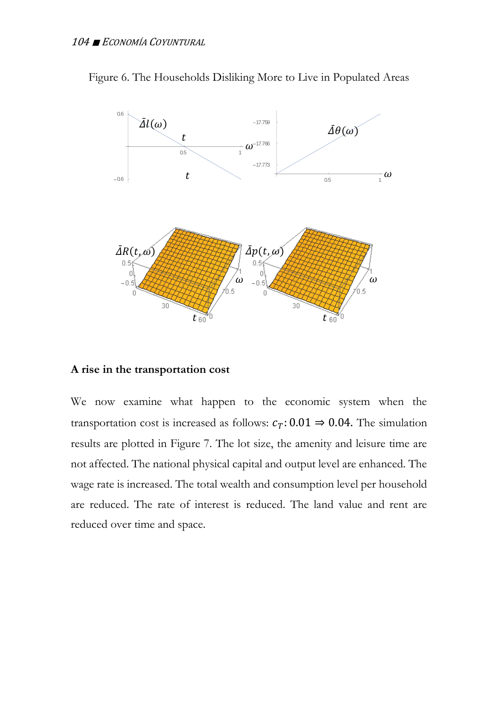

Figure 6. The Households Disliking More to Live in Populated Areas

# **A rise in the transportation cost**

We now examine what happen to the economic system when the transportation cost is increased as follows:  $c_T: 0.01 \Rightarrow 0.04$ . The simulation results are plotted in Figure 7. The lot size, the amenity and leisure time are not affected. The national physical capital and output level are enhanced. The wage rate is increased. The total wealth and consumption level per household are reduced. The rate of interest is reduced. The land value and rent are reduced over time and space.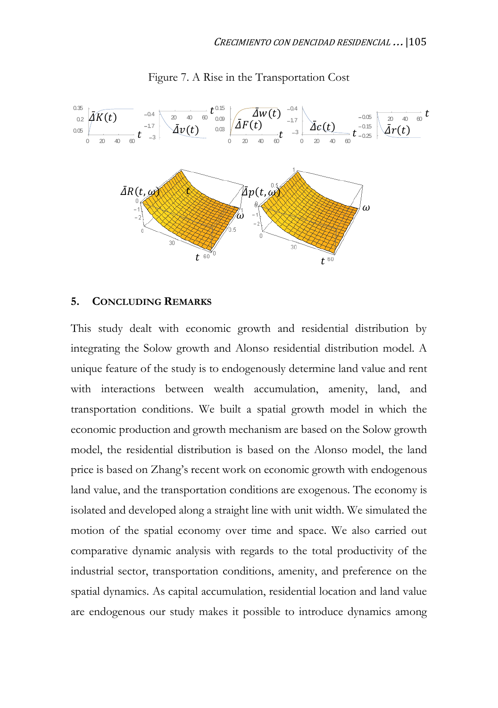

Figure 7. A Rise in the Transportation Cost

#### **5. CONCLUDING REMARKS**

This study dealt with economic growth and residential distribution by integrating the Solow growth and Alonso residential distribution model. A unique feature of the study is to endogenously determine land value and rent with interactions between wealth accumulation, amenity, land, and transportation conditions. We built a spatial growth model in which the economic production and growth mechanism are based on the Solow growth model, the residential distribution is based on the Alonso model, the land price is based on Zhang's recent work on economic growth with endogenous land value, and the transportation conditions are exogenous. The economy is isolated and developed along a straight line with unit width. We simulated the motion of the spatial economy over time and space. We also carried out comparative dynamic analysis with regards to the total productivity of the industrial sector, transportation conditions, amenity, and preference on the spatial dynamics. As capital accumulation, residential location and land value are endogenous our study makes it possible to introduce dynamics among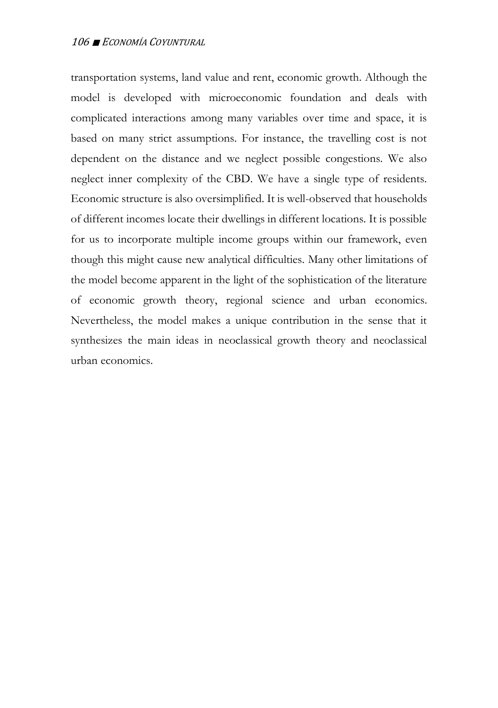transportation systems, land value and rent, economic growth. Although the model is developed with microeconomic foundation and deals with complicated interactions among many variables over time and space, it is based on many strict assumptions. For instance, the travelling cost is not dependent on the distance and we neglect possible congestions. We also neglect inner complexity of the CBD. We have a single type of residents. Economic structure is also oversimplified. It is well-observed that households of different incomes locate their dwellings in different locations. It is possible for us to incorporate multiple income groups within our framework, even though this might cause new analytical difficulties. Many other limitations of the model become apparent in the light of the sophistication of the literature of economic growth theory, regional science and urban economics. Nevertheless, the model makes a unique contribution in the sense that it synthesizes the main ideas in neoclassical growth theory and neoclassical urban economics.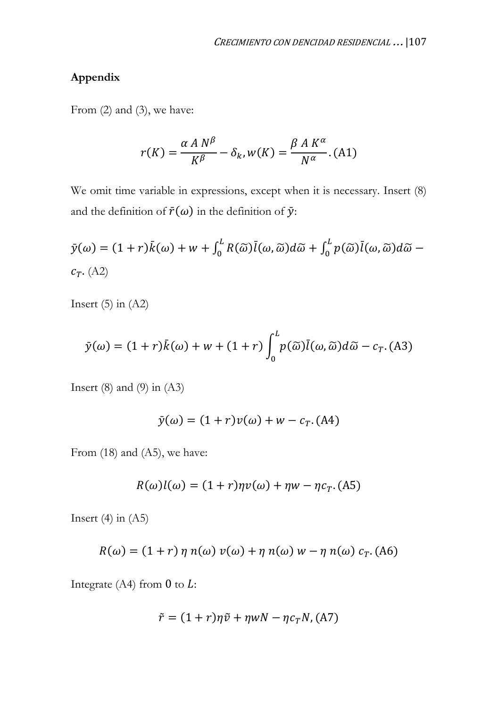# **Appendix**

From (2) and (3), we have:

$$
r(K) = \frac{\alpha A N^{\beta}}{K^{\beta}} - \delta_{k}, w(K) = \frac{\beta A K^{\alpha}}{N^{\alpha}}.
$$
 (A1)

We omit time variable in expressions, except when it is necessary. Insert (8) and the definition of  $\bar{r}(\omega)$  in the definition of  $\bar{y}$ :

$$
\bar{y}(\omega) = (1+r)\bar{k}(\omega) + w + \int_0^L R(\tilde{\omega})\bar{l}(\omega, \tilde{\omega})d\tilde{\omega} + \int_0^L p(\tilde{\omega})\bar{l}(\omega, \tilde{\omega})d\tilde{\omega} - c_T. \quad (A2)
$$

Insert  $(5)$  in  $(A2)$ 

$$
\bar{y}(\omega) = (1+r)\bar{k}(\omega) + w + (1+r)\int_0^L p(\tilde{\omega})\bar{l}(\omega, \tilde{\omega})d\tilde{\omega} - c_T. \text{ (A3)}
$$

Insert  $(8)$  and  $(9)$  in  $(A3)$ 

$$
\bar{y}(\omega) = (1+r)v(\omega) + w - c_T. \text{ (A4)}
$$

From (18) and (A5), we have:

$$
R(\omega)l(\omega) = (1+r)\eta v(\omega) + \eta w - \eta c_T. \text{(A5)}
$$

Insert  $(4)$  in  $(AS)$ 

$$
R(\omega) = (1+r)\eta n(\omega) v(\omega) + \eta n(\omega) w - \eta n(\omega) c_T. (A6)
$$

Integrate (A4) from  $0$  to  $L$ :

$$
\tilde{r} = (1+r)\eta \tilde{v} + \eta wN - \eta c_T N, (A7)
$$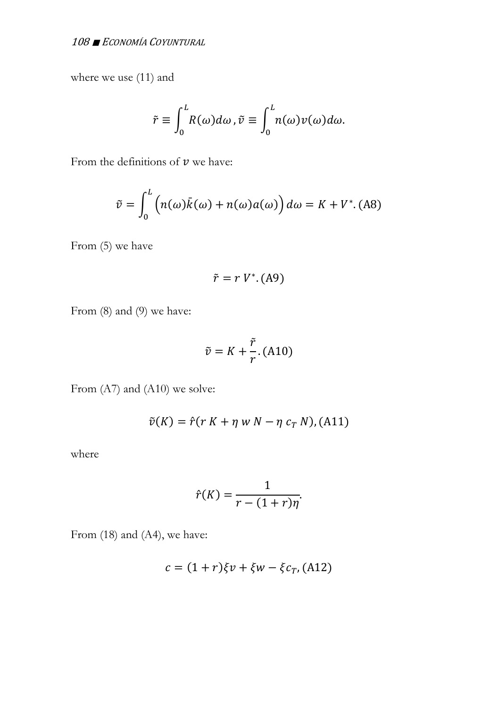where we use (11) and

$$
\tilde{r} \equiv \int_0^L R(\omega) d\omega, \tilde{v} \equiv \int_0^L n(\omega) v(\omega) d\omega.
$$

From the definitions of  $\nu$  we have:

$$
\tilde{v} = \int_0^L \left( n(\omega)\bar{k}(\omega) + n(\omega)a(\omega) \right) d\omega = K + V^*.
$$
 (A8)

From (5) we have

$$
\tilde{r}=r V^*.\,(A9)
$$

From (8) and (9) we have:

$$
\tilde{v} = K + \frac{\tilde{r}}{r}.\,\text{(A10)}
$$

From (A7) and (A10) we solve:

$$
\tilde{v}(K) = \hat{r}(r K + \eta w N - \eta c_T N),
$$
(A11)

where

$$
\hat{r}(K) = \frac{1}{r - (1+r)\eta}.
$$

From (18) and (A4), we have:

$$
c = (1+r)\xi v + \xi w - \xi c_T, \text{(A12)}
$$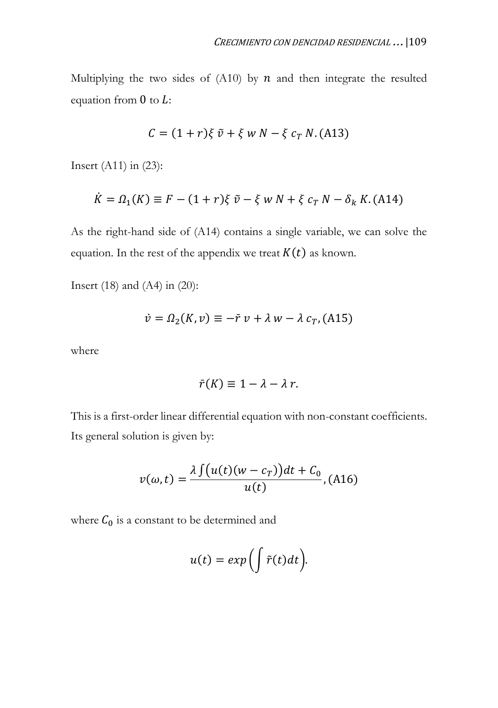Multiplying the two sides of  $(A10)$  by  $n$  and then integrate the resulted equation from  $0$  to  $L$ :

$$
C = (1+r)\xi \tilde{v} + \xi w N - \xi c_T N. \text{(A13)}
$$

Insert (A11) in (23):

$$
\dot{K} = \Omega_1(K) \equiv F - (1+r)\xi \tilde{v} - \xi w N + \xi c_T N - \delta_k K. \text{(A14)}
$$

As the right-hand side of (A14) contains a single variable, we can solve the equation. In the rest of the appendix we treat  $K(t)$  as known.

Insert (18) and (A4) in (20):

$$
\dot{v} = \Omega_2(K, v) \equiv -\bar{r} v + \lambda w - \lambda c_T, \text{(A15)}
$$

where

$$
\bar{r}(K) \equiv 1 - \lambda - \lambda r.
$$

This is a first-order linear differential equation with non-constant coefficients. Its general solution is given by:

$$
v(\omega, t) = \frac{\lambda \int (u(t)(w - c_T))dt + C_0}{u(t)}
$$
, (A16)

where  $C_0$  is a constant to be determined and

$$
u(t) = exp\left(\int \tilde{r}(t)dt\right).
$$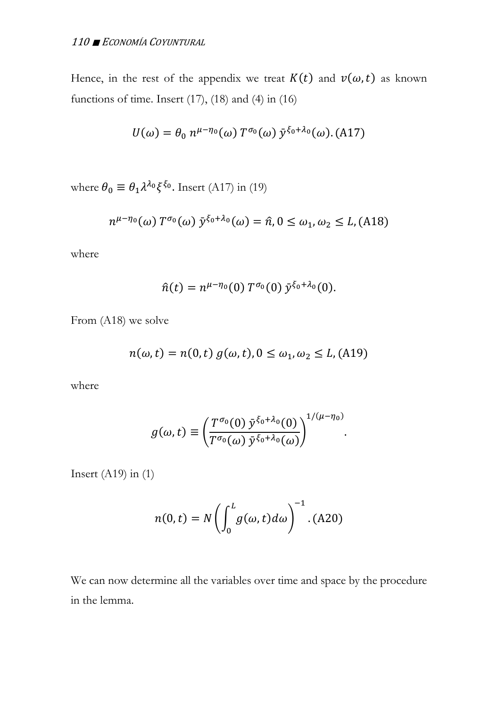Hence, in the rest of the appendix we treat  $K(t)$  and  $v(\omega, t)$  as known functions of time. Insert  $(17)$ ,  $(18)$  and  $(4)$  in  $(16)$ 

$$
U(\omega) = \theta_0 n^{\mu - \eta_0}(\omega) T^{\sigma_0}(\omega) \bar{y}^{\xi_0 + \lambda_0}(\omega)
$$
 (A17)

where  $\theta_0 \equiv \theta_1 \lambda^{\lambda_0} \xi^{\xi_0}$ . Insert (A17) in (19)

$$
n^{\mu-\eta_0}(\omega) T^{\sigma_0}(\omega) \bar{y}^{\xi_0+\lambda_0}(\omega) = \hat{n}, 0 \le \omega_1, \omega_2 \le L, \text{(A18)}
$$

where

$$
\hat{n}(t) = n^{\mu-\eta_0}(0) T^{\sigma_0}(0) \bar{y}^{\xi_0+\lambda_0}(0).
$$

From (A18) we solve

$$
n(\omega, t) = n(0, t) g(\omega, t), 0 \le \omega_1, \omega_2 \le L, (A19)
$$

where

$$
g(\omega,t)\equiv\left(\frac{T^{\sigma_0}(0) \bar{y}^{\xi_0+\lambda_0}(0)}{T^{\sigma_0}(\omega) \bar{y}^{\xi_0+\lambda_0}(\omega)}\right)^{1/(\mu-\eta_0)}.
$$

Insert  $(A19)$  in  $(1)$ 

$$
n(0,t) = N\left(\int_0^L g(\omega, t) d\omega\right)^{-1}.\text{(A20)}
$$

We can now determine all the variables over time and space by the procedure in the lemma.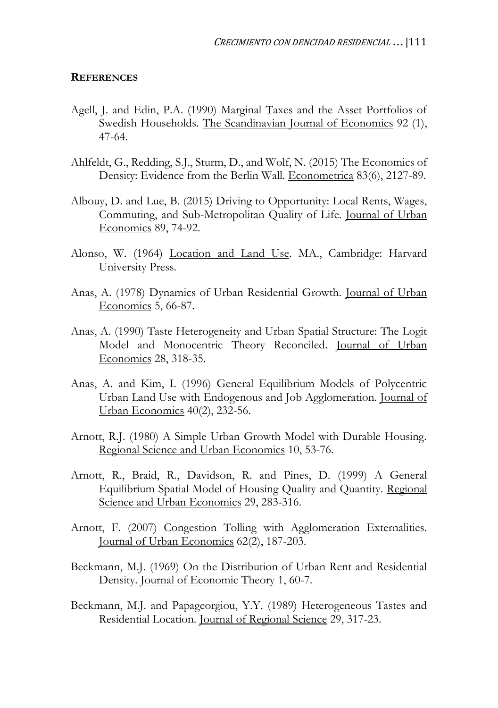#### **REFERENCES**

- Agell, J. and Edin, P.A. (1990) Marginal Taxes and the Asset Portfolios of Swedish Households. The Scandinavian Journal of Economics 92 (1), 47-64.
- Ahlfeldt, G., Redding, S.J., Sturm, D., and Wolf, N. (2015) The Economics of Density: Evidence from the Berlin Wall. Econometrica 83(6), 2127-89.
- Albouy, D. and Lue, B. (2015) Driving to Opportunity: Local Rents, Wages, Commuting, and Sub-Metropolitan Quality of Life. Journal of Urban Economics 89, 74-92.
- Alonso, W. (1964) Location and Land Use. MA., Cambridge: Harvard University Press.
- Anas, A. (1978) Dynamics of Urban Residential Growth. Journal of Urban Economics 5, 66-87.
- Anas, A. (1990) Taste Heterogeneity and Urban Spatial Structure: The Logit Model and Monocentric Theory Reconciled. Journal of Urban Economics 28, 318-35.
- Anas, A. and Kim, I. (1996) General Equilibrium Models of Polycentric Urban Land Use with Endogenous and Job Agglomeration. Journal of Urban Economics 40(2), 232-56.
- Arnott, R.J. (1980) A Simple Urban Growth Model with Durable Housing. Regional Science and Urban Economics 10, 53-76.
- Arnott, R., Braid, R., Davidson, R. and Pines, D. (1999) A General Equilibrium Spatial Model of Housing Quality and Quantity. Regional Science and Urban Economics 29, 283-316.
- Arnott, F. (2007) Congestion Tolling with Agglomeration Externalities. Journal of Urban Economics 62(2), 187-203.
- Beckmann, M.J. (1969) On the Distribution of Urban Rent and Residential Density. Journal of Economic Theory 1, 60-7.
- Beckmann, M.J. and Papageorgiou, Y.Y. (1989) Heterogeneous Tastes and Residential Location. Journal of Regional Science 29, 317-23.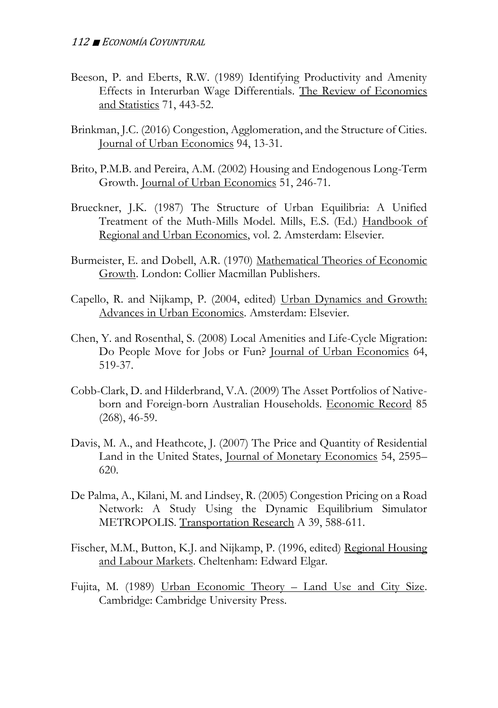- Beeson, P. and Eberts, R.W. (1989) Identifying Productivity and Amenity Effects in Interurban Wage Differentials. The Review of Economics and Statistics 71, 443-52.
- Brinkman, J.C. (2016) Congestion, Agglomeration, and the Structure of Cities. Journal of Urban Economics 94, 13-31.
- Brito, P.M.B. and Pereira, A.M. (2002) Housing and Endogenous Long-Term Growth. Journal of Urban Economics 51, 246-71.
- Brueckner, J.K. (1987) The Structure of Urban Equilibria: A Unified Treatment of the Muth-Mills Model. Mills, E.S. (Ed.) Handbook of Regional and Urban Economics, vol. 2. Amsterdam: Elsevier.
- Burmeister, E. and Dobell, A.R. (1970) Mathematical Theories of Economic Growth. London: Collier Macmillan Publishers.
- Capello, R. and Nijkamp, P. (2004, edited) Urban Dynamics and Growth: Advances in Urban Economics. Amsterdam: Elsevier.
- Chen, Y. and Rosenthal, S. (2008) Local Amenities and Life-Cycle Migration: Do People Move for Jobs or Fun? Journal of Urban Economics 64, 519-37.
- Cobb-Clark, D. and Hilderbrand, V.A. (2009) The Asset Portfolios of Nativeborn and Foreign-born Australian Households. Economic Record 85 (268), 46-59.
- Davis, M. A., and Heathcote, J. (2007) The Price and Quantity of Residential Land in the United States, Journal of Monetary Economics 54, 2595– 620.
- De Palma, A., Kilani, M. and Lindsey, R. (2005) Congestion Pricing on a Road Network: A Study Using the Dynamic Equilibrium Simulator METROPOLIS. Transportation Research A 39, 588-611.
- Fischer, M.M., Button, K.J. and Nijkamp, P. (1996, edited) Regional Housing and Labour Markets. Cheltenham: Edward Elgar.
- Fujita, M. (1989) Urban Economic Theory Land Use and City Size. Cambridge: Cambridge University Press.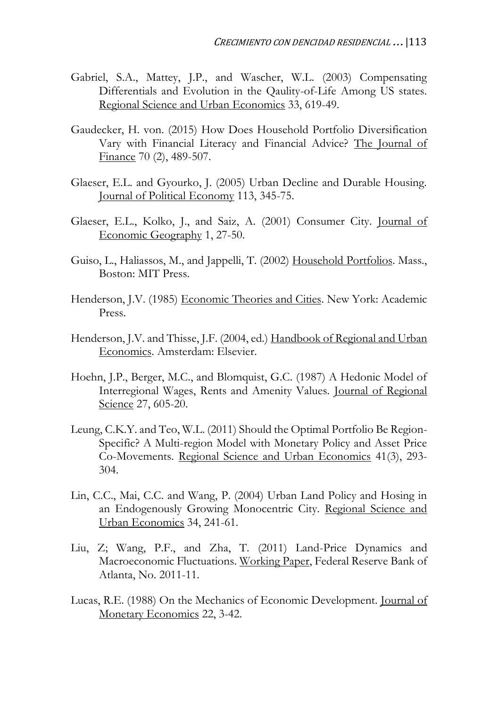- Gabriel, S.A., Mattey, J.P., and Wascher, W.L. (2003) Compensating Differentials and Evolution in the Qaulity-of-Life Among US states. Regional Science and Urban Economics 33, 619-49.
- Gaudecker, H. von. (2015) How Does Household Portfolio Diversification Vary with Financial Literacy and Financial Advice? The Journal of Finance 70 (2), 489-507.
- Glaeser, E.L. and Gyourko, J. (2005) Urban Decline and Durable Housing. Journal of Political Economy 113, 345-75.
- Glaeser, E.L., Kolko, J., and Saiz, A. (2001) Consumer City. Journal of Economic Geography 1, 27-50.
- Guiso, L., Haliassos, M., and Jappelli, T. (2002) Household Portfolios. Mass., Boston: MIT Press.
- Henderson, J.V. (1985) Economic Theories and Cities. New York: Academic Press.
- Henderson, J.V. and Thisse, J.F. (2004, ed.) Handbook of Regional and Urban Economics. Amsterdam: Elsevier.
- Hoehn, J.P., Berger, M.C., and Blomquist, G.C. (1987) A Hedonic Model of Interregional Wages, Rents and Amenity Values. Journal of Regional Science 27, 605-20.
- Leung, C.K.Y. and Teo, W.L. (2011) Should the Optimal Portfolio Be Region-Specific? A Multi-region Model with Monetary Policy and Asset Price Co-Movements. Regional Science and Urban Economics 41(3), 293- 304.
- Lin, C.C., Mai, C.C. and Wang, P. (2004) Urban Land Policy and Hosing in an Endogenously Growing Monocentric City. Regional Science and Urban Economics 34, 241-61.
- Liu, Z; Wang, P.F., and Zha, T. (2011) Land-Price Dynamics and Macroeconomic Fluctuations. Working Paper, Federal Reserve Bank of Atlanta, No. 2011-11.
- Lucas, R.E. (1988) On the Mechanics of Economic Development. Journal of Monetary Economics 22, 3-42.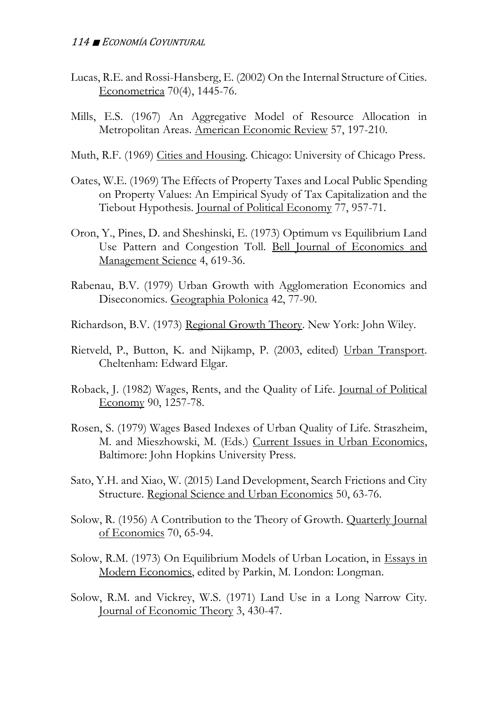- Lucas, R.E. and Rossi-Hansberg, E. (2002) On the Internal Structure of Cities. Econometrica 70(4), 1445-76.
- Mills, E.S. (1967) An Aggregative Model of Resource Allocation in Metropolitan Areas. American Economic Review 57, 197-210.
- Muth, R.F. (1969) Cities and Housing. Chicago: University of Chicago Press.
- Oates, W.E. (1969) The Effects of Property Taxes and Local Public Spending on Property Values: An Empirical Syudy of Tax Capitalization and the Tiebout Hypothesis. Journal of Political Economy 77, 957-71.
- Oron, Y., Pines, D. and Sheshinski, E. (1973) Optimum vs Equilibrium Land Use Pattern and Congestion Toll. Bell Journal of Economics and Management Science 4, 619-36.
- Rabenau, B.V. (1979) Urban Growth with Agglomeration Economics and Diseconomics. Geographia Polonica 42, 77-90.
- Richardson, B.V. (1973) Regional Growth Theory. New York: John Wiley.
- Rietveld, P., Button, K. and Nijkamp, P. (2003, edited) Urban Transport. Cheltenham: Edward Elgar.
- Roback, J. (1982) Wages, Rents, and the Quality of Life. Journal of Political Economy 90, 1257-78.
- Rosen, S. (1979) Wages Based Indexes of Urban Quality of Life. Straszheim, M. and Mieszhowski, M. (Eds.) Current Issues in Urban Economics, Baltimore: John Hopkins University Press.
- Sato, Y.H. and Xiao, W. (2015) Land Development, Search Frictions and City Structure. Regional Science and Urban Economics 50, 63-76.
- Solow, R. (1956) A Contribution to the Theory of Growth. Quarterly Journal of Economics 70, 65-94.
- Solow, R.M. (1973) On Equilibrium Models of Urban Location, in Essays in Modern Economics, edited by Parkin, M. London: Longman.
- Solow, R.M. and Vickrey, W.S. (1971) Land Use in a Long Narrow City. Journal of Economic Theory 3, 430-47.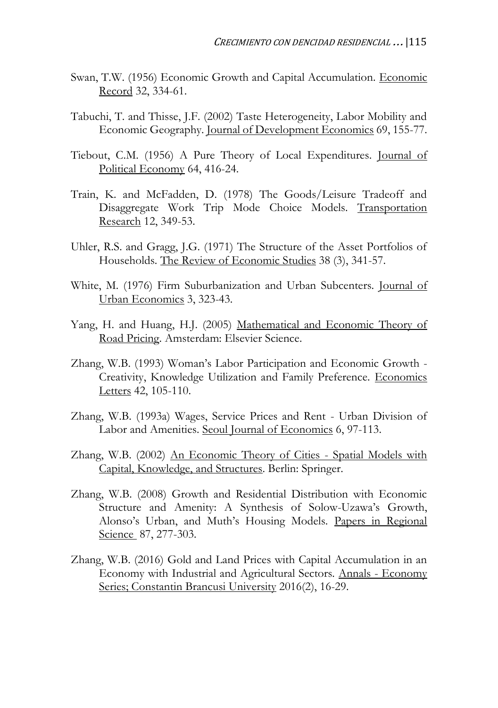- Swan, T.W. (1956) Economic Growth and Capital Accumulation. Economic Record 32, 334-61.
- Tabuchi, T. and Thisse, J.F. (2002) Taste Heterogeneity, Labor Mobility and Economic Geography. Journal of Development Economics 69, 155-77.
- Tiebout, C.M. (1956) A Pure Theory of Local Expenditures. Journal of Political Economy 64, 416-24.
- Train, K. and McFadden, D. (1978) The Goods/Leisure Tradeoff and Disaggregate Work Trip Mode Choice Models. Transportation Research 12, 349-53.
- Uhler, R.S. and Gragg, J.G. (1971) The Structure of the Asset Portfolios of Households. The Review of Economic Studies 38 (3), 341-57.
- White, M. (1976) Firm Suburbanization and Urban Subcenters. Journal of Urban Economics 3, 323-43.
- Yang, H. and Huang, H.J. (2005) Mathematical and Economic Theory of Road Pricing. Amsterdam: Elsevier Science.
- Zhang, W.B. (1993) Woman's Labor Participation and Economic Growth Creativity, Knowledge Utilization and Family Preference. Economics Letters 42, 105-110.
- Zhang, W.B. (1993a) Wages, Service Prices and Rent Urban Division of Labor and Amenities. Seoul Journal of Economics 6, 97-113.
- Zhang, W.B. (2002) An Economic Theory of Cities Spatial Models with Capital, Knowledge, and Structures. Berlin: Springer.
- Zhang, W.B. (2008) Growth and Residential Distribution with Economic Structure and Amenity: A Synthesis of Solow-Uzawa's Growth, Alonso's Urban, and Muth's Housing Models. Papers in Regional Science 87, 277-303.
- Zhang, W.B. (2016) Gold and Land Prices with Capital Accumulation in an Economy with Industrial and Agricultural Sectors. Annals - Economy Series; Constantin Brancusi University 2016(2), 16-29.